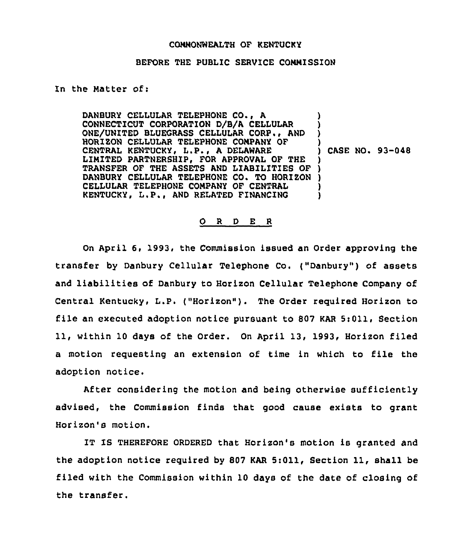## COMMONWEALTH OF KENTUCKY

## BEFORE THE PUBLIC SERVICE COMMISSION

## In the Matter of:

DANBURY CELLULAR TELEPHONE CO., <sup>A</sup> CONNECTICUT CORPORATION D/8/A CELLULAR ONE/UNITED BLUEGRASS CELLULAR CORP., AND HORIZON CELLULAR TELEPHONE COMPANY OF CENTRAL KENTUCKY, L.P., A DELAWARE LIMITED PARTNERSHIP, FOR APPROVAL OF THE LIMITED PARTNERSHIP, FOR APPROVAL OF THE )<br>TRANSFER OF THE ASSETS AND LIABILITIES OF ) DANBURY CELLULAR TELEPHONE CO. TO HORIZON ) CELLULAR TELEPHONE COMPANY OF CENTRAL KENTUCKY, L.P., AND RELATED FINANCING ) ) ) ) ) CASE NO. 93-048 ) ) )

## 0 <sup>R</sup> <sup>D</sup> E <sup>R</sup>

On April 6, 1993, the Commission issued an Order approving the transfer by Danbury Cellular Telephone Co. ("Danbury") of assets and liabilities of Danbury to Horizon Cellular Telephone Company of Central Kentucky, L.P. ("Horizon"). The Order required Horizon to file an executed adoption notice pursuant to 807 KAR  $5:011$ , Section ll, within <sup>10</sup> days of the Order. On April 13, 1993, Horizon filed a motion requesting an extension of time in which to file the adoption notice.

After considering the motion and being otherwise sufficiently advised, the Commission finds that good cause exists to grant Horizon's motion.

IT IS THEREFORE ORDERED that Horizon's motion is granted and the adoption notice required by 807 KAR 5:011, Section 11, shall be filed with the Commission within 10 days of the date of closing of the transfer.